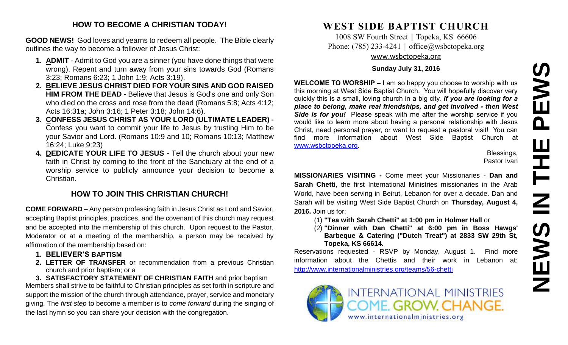# **NEWS IN THE PEWS**PEWS HH H NEWS

#### **HOW TO BECOME A CHRISTIAN TODAY!**

**GOOD NEWS!** God loves and yearns to redeem all people. The Bible clearly outlines the way to become a follower of Jesus Christ:

- **1. ADMIT** Admit to God you are a sinner (you have done things that were wrong). Repent and turn away from your sins towards God (Romans 3:23; Romans 6:23; 1 John 1:9; Acts 3:19).
- **2. BELIEVE JESUS CHRIST DIED FOR YOUR SINS AND GOD RAISED HIM FROM THE DEAD -** Believe that Jesus is God's one and only Son who died on the cross and rose from the dead (Romans 5:8; Acts 4:12; Acts 16:31a; John 3:16; 1 Peter 3:18; John 14:6).
- **3. CONFESS JESUS CHRIST AS YOUR LORD (ULTIMATE LEADER) -** Confess you want to commit your life to Jesus by trusting Him to be your Savior and Lord. (Romans 10:9 and 10; Romans 10:13; Matthew 16:24; Luke 9:23)
- **4. DEDICATE YOUR LIFE TO JESUS -** Tell the church about your new faith in Christ by coming to the front of the Sanctuary at the end of a worship service to publicly announce your decision to become a Christian.

#### **HOW TO JOIN THIS CHRISTIAN CHURCH!**

**COME FORWARD** – Any person professing faith in Jesus Christ as Lord and Savior, accepting Baptist principles, practices, and the covenant of this church may request and be accepted into the membership of this church. Upon request to the Pastor, Moderator or at a meeting of the membership, a person may be received by affirmation of the membership based on:

- **1. BELIEVER'S BAPTISM**
- **2. LETTER OF TRANSFER** or recommendation from a previous Christian church and prior baptism; or a

**3. SATISFACTORY STATEMENT OF CHRISTIAN FAITH** and prior baptism Members shall strive to be faithful to Christian principles as set forth in scripture and support the mission of the church through attendance, prayer, service and monetary giving. The *first step* to become a member is to *come forward* during the singing of the last hymn so you can share your decision with the congregation.

# **WEST SIDE BAPTIST CHURCH**

1008 SW Fourth Street | Topeka, KS 66606 Phone: (785) 233-4241 │ [office@wsbctopeka.org](mailto:office@wsbctopeka.org) [www.wsbctopeka.org](http://www.wsbctopeka.org/)

#### **Sunday July 31, 2016**

**WELCOME TO WORSHIP –** I am so happy you choose to worship with us this morning at West Side Baptist Church. You will hopefully discover very quickly this is a small, loving church in a big city. *If you are looking for a place to belong, make real friendships, and get involved - then West Side is for you!* Please speak with me after the worship service if you would like to learn more about having a personal relationship with Jesus Christ, need personal prayer, or want to request a pastoral visit! You can find more information about West Side Baptist Church at [www.wsbctopeka.org.](http://www.wsbctopeka.org/)

Blessings, Pastor Ivan

**MISSIONARIES VISITING -** Come meet your Missionaries - **Dan and Sarah Chetti**, the first International Ministries missionaries in the Arab World, have been serving in Beirut, Lebanon for over a decade. Dan and Sarah will be visiting West Side Baptist Church on **Thursday, August 4, 2016.** Join us for:

(1) **"Tea with Sarah Chetti" at 1:00 pm in Holmer Hall** or

(2) **"Dinner with Dan Chetti" at 6:00 pm in Boss Hawgs' Barbeque & Catering ("Dutch Treat") at 2833 SW 29th St, Topeka, KS 66614.**

Reservations requested - RSVP by Monday, August 1. Find more information about the Chettis and their work in Lebanon at: <http://www.internationalministries.org/teams/56-chetti>

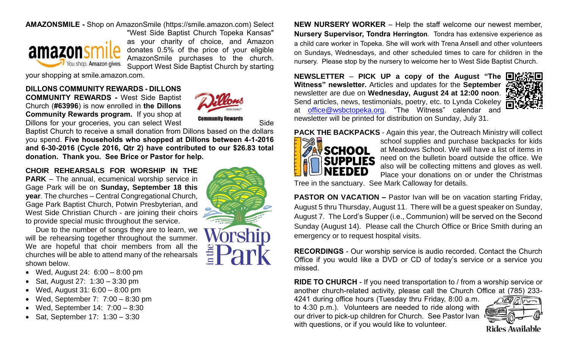#### **AMAZONSMILE -** Shop on AmazonSmile (https://smile.amazon.com) Select



"West Side Baptist Church Topeka Kansas" as your charity of choice, and Amazon donates 0.5% of the price of your eligible AmazonSmile purchases to the church. Support West Side Baptist Church by starting

your shopping at smile.amazon.com.

#### **DILLONS COMMUNITY REWARDS - DILLONS**

**COMMUNITY REWARDS -** West Side Baptist Church (**#63996**) is now enrolled in **the Dillons Community Rewards program.** If you shop at **Dillons for your groceries, you can select West Community Rewards** Side



Baptist Church to receive a small donation from Dillons based on the dollars you spend. **Five households who shopped at Dillons between 4-1-2016 and 6-30-2016 (Cycle 2016, Qtr 2) have contributed to our \$26.83 total donation. Thank you. See Brice or Pastor for help.**

**CHOIR REHEARSALS FOR WORSHIP IN THE PARK** – The annual, ecumenical worship service in Gage Park will be on **Sunday, September 18 this year**. The churches – Central Congregational Church, Gage Park Baptist Church, Potwin Presbyterian, and West Side Christian Church - are joining their choirs to provide special music throughout the service.

Due to the number of songs they are to learn, we will be rehearsing together throughout the summer. We are hopeful that choir members from all the churches will be able to attend many of the rehearsals shown below.

- Wed, August 24: 6:00 8:00 pm
- Sat, August 27:  $1:30 3:30$  pm
- Wed, August 31: 6:00 8:00 pm
- Wed, September 7:  $7:00 8:30$  pm
- Wed, September 14: 7:00 8:30
- Sat, September 17: 1:30 3:30



**NEW NURSERY WORKER** – Help the staff welcome our newest member, **Nursery Supervisor, Tondra Herrington**. Tondra has extensive experience as a child care worker in Topeka. She will work with Trena Ansell and other volunteers on Sundays, Wednesdays, and other scheduled times to care for children in the nursery. Please stop by the nursery to welcome her to West Side Baptist Church.

**NEWSLETTER** – **PICK UP a copy of the August "The Witness" newsletter.** Articles and updates for the **September** newsletter are due on **Wednesday, August 24 at 12:00 noon**. Send articles, news, testimonials, poetry, etc. to Lynda Cokeley at [office@wsbctopeka.org.](mailto:office@wsbctopeka.org) "The Witness" calendar and newsletter will be printed for distribution on Sunday, July 31.



**PACK THE BACKPACKS** - Again this year, the Outreach Ministry will collect



school supplies and purchase backpacks for kids at Meadows School. We will have a list of items in need on the bulletin board outside the office. We also will be collecting mittens and gloves as well. Place your donations on or under the Christmas

Tree in the sanctuary. See Mark Calloway for details.

**PASTOR ON VACATION –** Pastor Ivan will be on vacation starting Friday, August 5 thru Thursday, August 11. There will be a guest speaker on Sunday, August 7. The Lord's Supper (i.e., Communion) will be served on the Second Sunday (August 14). Please call the Church Office or Brice Smith during an emergency or to request hospital visits.

**RECORDINGS** - Our worship service is audio recorded. Contact the Church Office if you would like a DVD or CD of today's service or a service you missed.

**RIDE TO CHURCH** - If you need transportation to / from a worship service or another church-related activity, please call the Church Office at (785) 233-

4241 during office hours (Tuesday thru Friday, 8:00 a.m. to 4:30 p.m.). Volunteers are needed to ride along with our driver to pick-up children for Church. See Pastor Ivan with questions, or if you would like to volunteer.

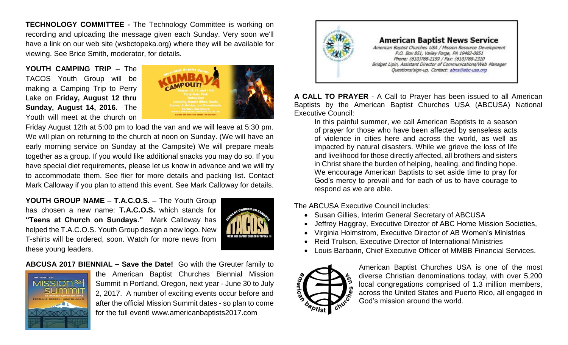**TECHNOLOGY COMMITTEE -** The Technology Committee is working on recording and uploading the message given each Sunday. Very soon we'll have a link on our web site (wsbctopeka.org) where they will be available for viewing. See Brice Smith, moderator, for details.

**YOUTH CAMPING TRIP** – The TACOS Youth Group will be making a Camping Trip to Perry Lake on **Friday, August 12 thru Sunday, August 14, 2016.** The Youth will meet at the church on



Friday August 12th at 5:00 pm to load the van and we will leave at 5:30 pm. We will plan on returning to the church at noon on Sunday. (We will have an early morning service on Sunday at the Campsite) We will prepare meals together as a group. If you would like additional snacks you may do so. If you have special diet requirements, please let us know in advance and we will try to accommodate them. See flier for more details and packing list. Contact Mark Calloway if you plan to attend this event. See Mark Calloway for details.

**YOUTH GROUP NAME – T.A.C.O.S. –** The Youth Group has chosen a new name: **T.A.C.O.S.** which stands for **"Teens at Church on Sundays."** Mark Calloway has helped the T.A.C.O.S. Youth Group design a new logo. New T-shirts will be ordered, soon. Watch for more news from these young leaders.



**ABCUSA 2017 BIENNIAL – Save the Date!** Go with the Greuter family to



the American Baptist Churches Biennial Mission Summit in Portland, Oregon, next year - June 30 to July 2, 2017. A number of exciting events occur before and after the official Mission Summit dates - so plan to come for the full event! www.americanbaptists2017.com



**A CALL TO PRAYER** - A Call to Prayer has been issued to all American Baptists by the American Baptist Churches USA (ABCUSA) National Executive Council:

In this painful summer, we call American Baptists to a season of prayer for those who have been affected by senseless acts of violence in cities here and across the world, as well as impacted by natural disasters. While we grieve the loss of life and livelihood for those directly affected, all brothers and sisters in Christ share the burden of helping, healing, and finding hope. We encourage American Baptists to set aside time to pray for God's mercy to prevail and for each of us to have courage to respond as we are able.

The ABCUSA Executive Council includes:

- Susan Gillies, Interim General Secretary of ABCUSA
- Jeffrey Haggray, Executive Director of ABC Home Mission Societies,
- Virginia Holmstrom, Executive Director of AB Women's Ministries
- Reid Trulson, Executive Director of International Ministries
- Louis Barbarin, Chief Executive Officer of MMBB Financial Services.



American Baptist Churches USA is one of the most diverse Christian denominations today, with over 5,200 local congregations comprised of 1.3 million members, across the United States and Puerto Rico, all engaged in God's mission around the world.